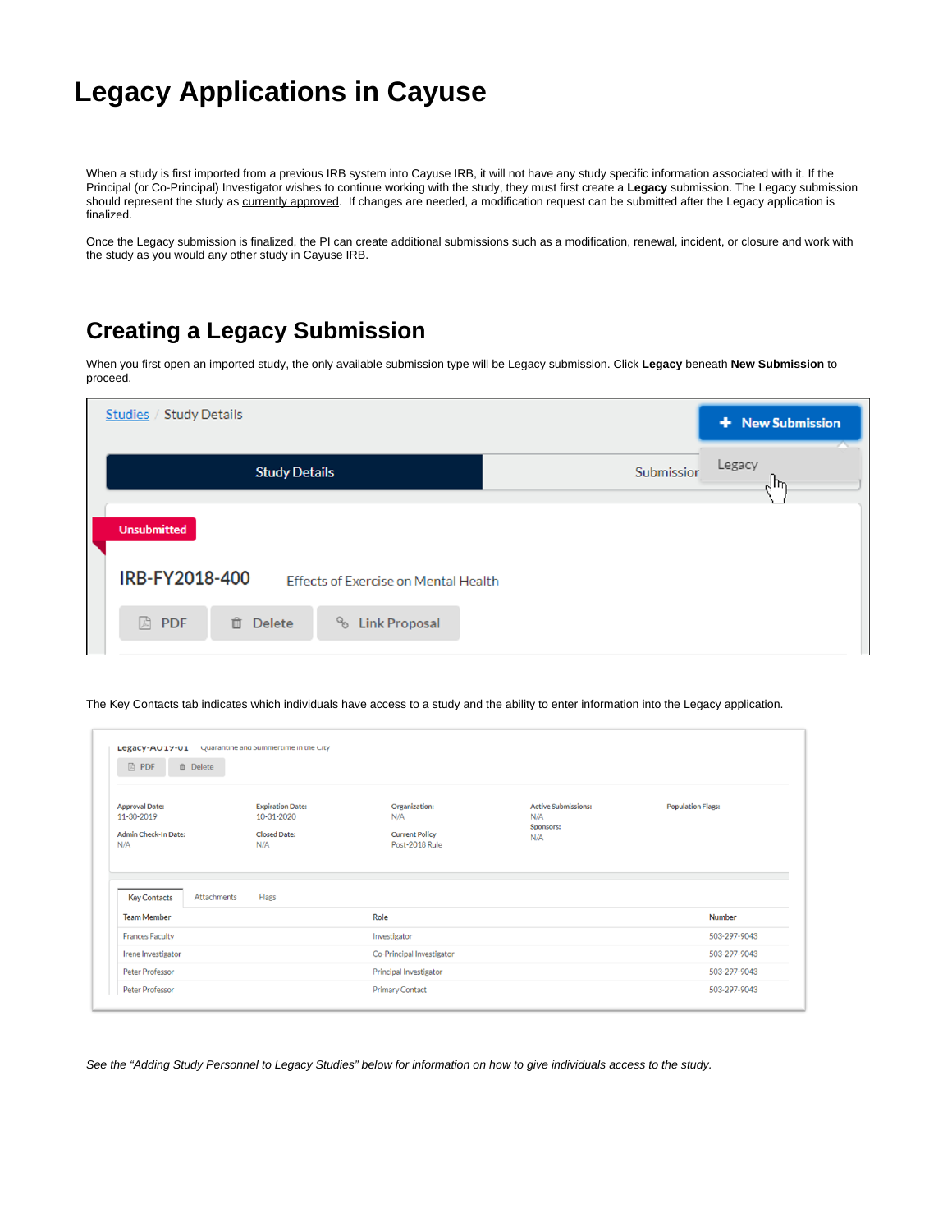## **Legacy Applications in Cayuse**

When a study is first imported from a previous IRB system into Cayuse IRB, it will not have any study specific information associated with it. If the Principal (or Co-Principal) Investigator wishes to continue working with the study, they must first create a **Legacy** submission. The Legacy submission should represent the study as currently approved. If changes are needed, a modification request can be submitted after the Legacy application is finalized.

Once the Legacy submission is finalized, the PI can create additional submissions such as a modification, renewal, incident, or closure and work with the study as you would any other study in Cayuse IRB.

## **Creating a Legacy Submission**

When you first open an imported study, the only available submission type will be Legacy submission. Click **Legacy** beneath **New Submission** to proceed.

| Studies / Study Details                |                                      |            | + New Submission |
|----------------------------------------|--------------------------------------|------------|------------------|
| <b>Study Details</b>                   |                                      | Submissior | Legacy<br>Ψμ     |
| <b>Unsubmitted</b>                     |                                      |            |                  |
| IRB-FY2018-400                         | Effects of Exercise on Mental Health |            |                  |
| F.<br><b>PDF</b><br><b>Delete</b><br>茴 | op<br><b>Link Proposal</b>           |            |                  |

The Key Contacts tab indicates which individuals have access to a study and the ability to enter information into the Legacy application.

| <b>A</b> PDF<br><b>自</b> Delete                                           |                                                                     |                                                                 |                                                              |                          |  |
|---------------------------------------------------------------------------|---------------------------------------------------------------------|-----------------------------------------------------------------|--------------------------------------------------------------|--------------------------|--|
| <b>Approval Date:</b><br>11-30-2019<br><b>Admin Check-In Date:</b><br>N/A | <b>Expiration Date:</b><br>10-31-2020<br><b>Closed Date:</b><br>N/A | Organization:<br>N/A<br><b>Current Policy</b><br>Post-2018 Rule | <b>Active Submissions:</b><br>N/A<br><b>Sponsors:</b><br>N/A | <b>Population Flags:</b> |  |
| <b>Key Contacts</b><br>Attachments                                        | Flags                                                               |                                                                 |                                                              |                          |  |
|                                                                           |                                                                     | Role                                                            |                                                              | <b>Number</b>            |  |
| <b>Team Member</b>                                                        |                                                                     |                                                                 | Investigator                                                 |                          |  |
| <b>Frances Faculty</b>                                                    |                                                                     |                                                                 |                                                              | 503-297-9043             |  |
| Irene Investigator                                                        |                                                                     | Co-Principal Investigator                                       |                                                              | 503-297-9043             |  |
| Peter Professor                                                           |                                                                     | Principal Investigator                                          |                                                              | 503-297-9043             |  |

See the "Adding Study Personnel to Legacy Studies" below for information on how to give individuals access to the study.